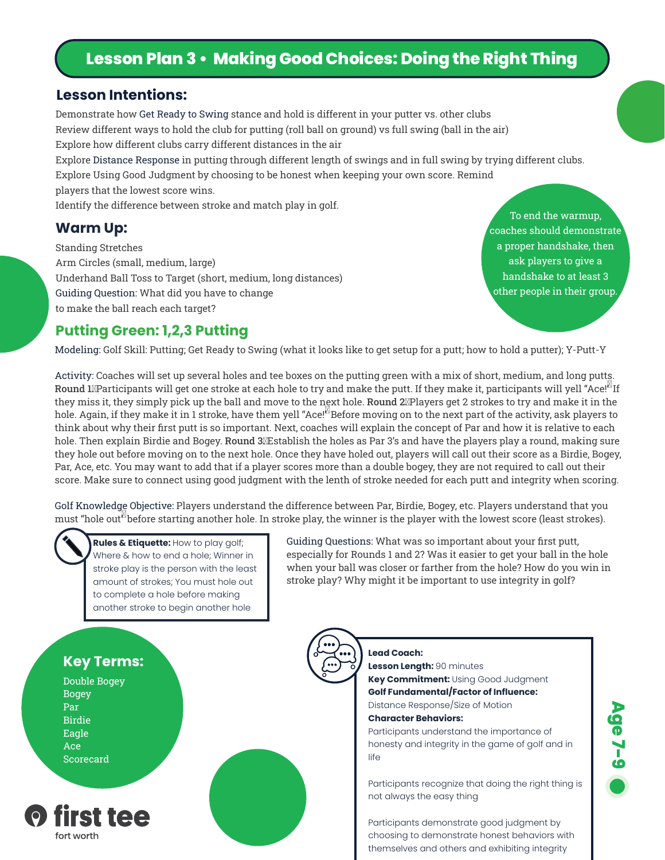# **Lesson Plan 3 • Making Good Choices: Doing the Right Thing**

#### **Lesson Intentions:**

Demonstrate how Get Ready to Swing stance and hold is different in your putter vs. other clubs Review different ways to hold the club for putting (roll ball on ground) vs full swing (ball in the air) Explore how different clubs carry different distances in the air Explore Distance Response in putting through different length of swings and in full swing by trying different clubs. Explore Using Good Judgment by choosing to be honest when keeping your own score. Remind

players that the lowest score wins.

Identify the difference between stroke and match play in golf.

#### **Warm Up:**

Standing Stretches Arm Circles (small, medium, large) Underhand Ball Toss to Target (short, medium, long distances) Guiding Question: What did you have to change to make the ball reach each target?

To end the warmup, coaches should demonstrate a proper handshake, then ask players to give a handshake to at least 3 other people in their group.

## **Putting Green: 1,2,3 Putting**

Modeling: Golf Skill: Putting; Get Ready to Swing (what it looks like to get setup for a putt; how to hold a putter); Y-Putt-Y

Activity: Coaches will set up several holes and tee boxes on the putting green with a mix of short, medium, and long putts. Round 1XParticipants will get one stroke at each hole to try and make the putt. If they make it, participants will yell "Ace!" If they miss it, they simply pick up the ball and move to the next hole. Round 2<sup>n</sup>Players get 2 strokes to try and make it in the hole. Again, if they make it in 1 stroke, have them yell "Ace!" Before moving on to the next part of the activity, ask players to think about why their first putt is so important. Next, coaches will explain the concept of Par and how it is relative to each hole. Then explain Birdie and Bogey. Round 3XEstablish the holes as Par 3's and have the players play a round, making sure they hole out before moving on to the next hole. Once they have holed out, players will call out their score as a Birdie, Bogey, Par, Ace, etc. You may want to add that if a player scores more than a double bogey, they are not required to call out their score. Make sure to connect using good judgment with the lenth of stroke needed for each putt and integrity when scoring.

Golf Knowledge Objective: Players understand the difference between Par, Birdie, Bogey, etc. Players understand that you must "hole out<sup>"</sup> before starting another hole. In stroke play, the winner is the player with the lowest score (least strokes).



**Rules & Etiquette:** How to play golf; Where & how to end a hole; Winner in stroke play is the person with the least amount of strokes; You must hole out to complete a hole before making another stroke to begin another hole

Guiding Questions: What was so important about your first putt, especially for Rounds 1 and 2? Was it easier to get your ball in the hole when your ball was closer or farther from the hole? How do you win in stroke play? Why might it be important to use integrity in golf?



Double Bogey Bogey Par Birdie Eagle Ace Scorecard



**Lead Coach: Lesson Length:** 90 minutes **Key Commitment:** Using Good Judgment **Golf Fundamental/Factor of Influence:**

Distance Response/Size of Motion **Character Behaviors:** Participants understand the importance of

honesty and integrity in the game of golf and in life

Participants recognize that doing the right thing is not always the easy thing

Participants demonstrate good judgment by choosing to demonstrate honest behaviors with themselves and others and exhibiting integrity